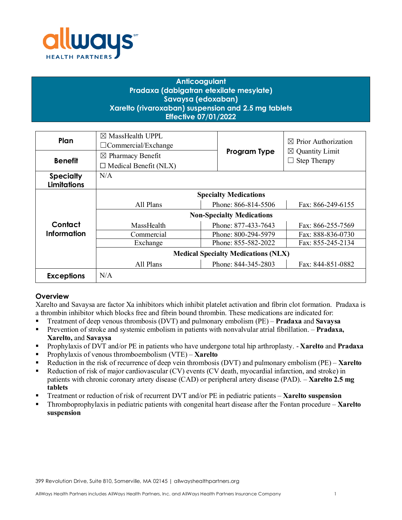

# **Anticoagulant Pradaxa (dabigatran etexilate mesylate) Savaysa (edoxaban) Xarelto (rivaroxaban) suspension and 2.5 mg tablets Effective 07/01/2022**

| Plan                                   | $\boxtimes$ MassHealth UPPL<br>$\Box$ Commercial/Exchange |                                          | $\boxtimes$ Prior Authorization |  |
|----------------------------------------|-----------------------------------------------------------|------------------------------------------|---------------------------------|--|
| <b>Benefit</b>                         | $\boxtimes$ Pharmacy Benefit                              | Program Type                             | $\boxtimes$ Quantity Limit      |  |
|                                        | $\Box$ Medical Benefit (NLX)                              |                                          | <b>Step Therapy</b>             |  |
| <b>Specialty</b><br><b>Limitations</b> | N/A                                                       |                                          |                                 |  |
|                                        | <b>Specialty Medications</b>                              |                                          |                                 |  |
|                                        | All Plans                                                 | Phone: 866-814-5506                      | Fax: 866-249-6155               |  |
|                                        | <b>Non-Specialty Medications</b>                          |                                          |                                 |  |
| Contact                                | MassHealth                                                | Phone: 877-433-7643                      | Fax: 866-255-7569               |  |
| <b>Information</b>                     | Commercial                                                | Phone: 800-294-5979<br>Fax: 888-836-0730 |                                 |  |
|                                        | Exchange                                                  | Phone: 855-582-2022                      | Fax: 855-245-2134               |  |
|                                        | <b>Medical Specialty Medications (NLX)</b>                |                                          |                                 |  |
|                                        | All Plans                                                 | Phone: 844-345-2803                      | Fax: 844-851-0882               |  |
| <b>Exceptions</b>                      | N/A                                                       |                                          |                                 |  |

# **Overview**

Xarelto and Savaysa are factor Xa inhibitors which inhibit platelet activation and fibrin clot formation. Pradaxa is a thrombin inhibitor which blocks free and fibrin bound thrombin. These medications are indicated for:

- Treatment of deep venous thrombosis (DVT) and pulmonary embolism (PE) **Pradaxa** and **Savaysa**
- Prevention of stroke and systemic embolism in patients with nonvalvular atrial fibrillation. **Pradaxa, Xarelto,** and **Savaysa**
- Prophylaxis of DVT and/or PE in patients who have undergone total hip arthroplasty. **Xarelto** and **Pradaxa**
- Prophylaxis of venous thromboembolism (VTE) **Xarelto**
- Reduction in the risk of recurrence of deep vein thrombosis (DVT) and pulmonary embolism (PE) **Xarelto**
- Reduction of risk of major cardiovascular (CV) events (CV death, myocardial infarction, and stroke) in patients with chronic coronary artery disease (CAD) or peripheral artery disease (PAD). – **Xarelto 2.5 mg tablets**
- Treatment or reduction of risk of recurrent DVT and/or PE in pediatric patients **Xarelto suspension**
- Thromboprophylaxis in pediatric patients with congenital heart disease after the Fontan procedure **Xarelto suspension**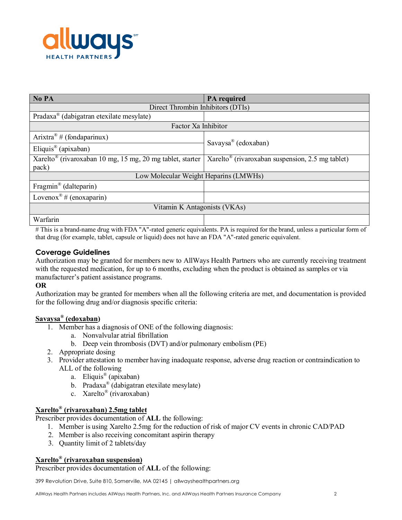

| No PA                                                                 | <b>PA</b> required                                           |  |  |
|-----------------------------------------------------------------------|--------------------------------------------------------------|--|--|
| Direct Thrombin Inhibitors (DTIs)                                     |                                                              |  |  |
| Pradaxa <sup>®</sup> (dabigatran etexilate mesylate)                  |                                                              |  |  |
| Factor Xa Inhibitor                                                   |                                                              |  |  |
| Arixtra <sup>®</sup> # (fondaparinux)                                 | Savaysa® (edoxaban)                                          |  |  |
| Eliquis <sup>®</sup> (apixaban)                                       |                                                              |  |  |
| Xarelto <sup>®</sup> (rivaroxaban 10 mg, 15 mg, 20 mg tablet, starter | Xarelto <sup>®</sup> (rivaroxaban suspension, 2.5 mg tablet) |  |  |
| pack)                                                                 |                                                              |  |  |
| Low Molecular Weight Heparins (LMWHs)                                 |                                                              |  |  |
| Fragmin <sup>®</sup> (dalteparin)                                     |                                                              |  |  |
| Lovenox <sup>®</sup> # (enoxaparin)                                   |                                                              |  |  |
| Vitamin K Antagonists (VKAs)                                          |                                                              |  |  |
| Warfarin                                                              |                                                              |  |  |

# This is a brand-name drug with FDA "A"-rated generic equivalents. PA is required for the brand, unless a particular form of that drug (for example, tablet, capsule or liquid) does not have an FDA "A"-rated generic equivalent.

# **Coverage Guidelines**

Authorization may be granted for members new to AllWays Health Partners who are currently receiving treatment with the requested medication, for up to 6 months, excluding when the product is obtained as samples or via manufacturer's patient assistance programs.

# **OR**

Authorization may be granted for members when all the following criteria are met, and documentation is provided for the following drug and/or diagnosis specific criteria:

#### **Savaysa® (edoxaban)**

- 1. Member has a diagnosis of ONE of the following diagnosis:
	- a. Nonvalvular atrial fibrillation
	- b. Deep vein thrombosis (DVT) and/or pulmonary embolism (PE)
- 2. Appropriate dosing
- 3. Provider attestation to member having inadequate response, adverse drug reaction or contraindication to ALL of the following
	- a. Eliquis® (apixaban)
	- b. Pradaxa® (dabigatran etexilate mesylate)
	- c. Xarelto® (rivaroxaban)

# **Xarelto® (rivaroxaban) 2.5mg tablet**

Prescriber provides documentation of **ALL** the following:

- 1. Member is using Xarelto 2.5mg for the reduction of risk of major CV events in chronic CAD/PAD
- 2. Member is also receiving concomitant aspirin therapy
- 3. Quantity limit of 2 tablets/day

# **Xarelto® (rivaroxaban suspension)**

Prescriber provides documentation of **ALL** of the following:

399 Revolution Drive, Suite 810, Somerville, MA 02145 | allwayshealthpartners.org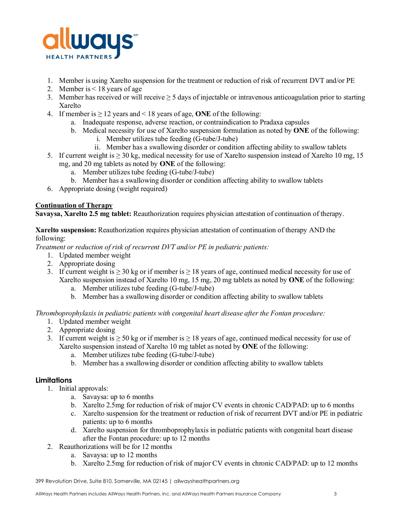

- 1. Member is using Xarelto suspension for the treatment or reduction of risk of recurrent DVT and/or PE
- 2. Member is < 18 years of age
- 3. Member has received or will receive  $\geq$  5 days of injectable or intravenous anticoagulation prior to starting Xarelto
- 4. If member is  $\geq 12$  years and < 18 years of age, **ONE** of the following:
	- a. Inadequate response, adverse reaction, or contraindication to Pradaxa capsules
	- b. Medical necessity for use of Xarelto suspension formulation as noted by **ONE** of the following:
		- i. Member utilizes tube feeding (G-tube/J-tube)
		- ii. Member has a swallowing disorder or condition affecting ability to swallow tablets
- 5. If current weight is  $\geq 30$  kg, medical necessity for use of Xarelto suspension instead of Xarelto 10 mg, 15 mg, and 20 mg tablets as noted by **ONE** of the following:
	- a. Member utilizes tube feeding (G-tube/J-tube)
	- b. Member has a swallowing disorder or condition affecting ability to swallow tablets
- 6. Appropriate dosing (weight required)

### **Continuation of Therapy**

**Savaysa, Xarelto 2.5 mg tablet:** Reauthorization requires physician attestation of continuation of therapy.

### **Xarelto suspension:** Reauthorization requires physician attestation of continuation of therapy AND the following:

*Treatment or reduction of risk of recurrent DVT and/or PE in pediatric patients:*

- 1. Updated member weight
- 2. Appropriate dosing
- 3. If current weight is  $\geq$  30 kg or if member is  $\geq$  18 years of age, continued medical necessity for use of Xarelto suspension instead of Xarelto 10 mg, 15 mg, 20 mg tablets as noted by **ONE** of the following:
	- a. Member utilizes tube feeding (G-tube/J-tube)
	- b. Member has a swallowing disorder or condition affecting ability to swallow tablets

*Thromboprophylaxis in pediatric patients with congenital heart disease after the Fontan procedure:*

- 1. Updated member weight
- 2. Appropriate dosing
- 3. If current weight is  $\geq 50$  kg or if member is  $\geq 18$  years of age, continued medical necessity for use of Xarelto suspension instead of Xarelto 10 mg tablet as noted by **ONE** of the following:
	- a. Member utilizes tube feeding (G-tube/J-tube)
	- b. Member has a swallowing disorder or condition affecting ability to swallow tablets

#### **Limitations**

- 1. Initial approvals:
	- a. Savaysa: up to 6 months
	- b. Xarelto 2.5mg for reduction of risk of major CV events in chronic CAD/PAD: up to 6 months
	- c. Xarelto suspension for the treatment or reduction of risk of recurrent DVT and/or PE in pediatric patients: up to 6 months
	- d. Xarelto suspension for thromboprophylaxis in pediatric patients with congenital heart disease after the Fontan procedure: up to 12 months
- 2. Reauthorizations will be for 12 months
	- a. Savaysa: up to 12 months
	- b. Xarelto 2.5mg for reduction of risk of major CV events in chronic CAD/PAD: up to 12 months

399 Revolution Drive, Suite 810, Somerville, MA 02145 | allwayshealthpartners.org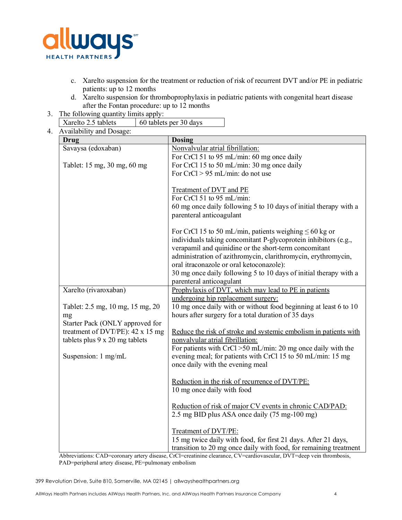

- c. Xarelto suspension for the treatment or reduction of risk of recurrent DVT and/or PE in pediatric patients: up to 12 months
- d. Xarelto suspension for thromboprophylaxis in pediatric patients with congenital heart disease after the Fontan procedure: up to 12 months
- 3. The following quantity limits apply:

| 60 tablets per 30 days |
|------------------------|
|                        |

4. Availability and Dosage:

| <b>Dosing</b>                                                                |
|------------------------------------------------------------------------------|
| Nonvalvular atrial fibrillation:                                             |
| For CrCl 51 to 95 mL/min: 60 mg once daily                                   |
| For CrCl 15 to 50 mL/min: 30 mg once daily                                   |
| For $CrCl > 95$ mL/min: do not use                                           |
|                                                                              |
| <b>Treatment of DVT and PE</b>                                               |
| For CrCl 51 to 95 mL/min:                                                    |
| 60 mg once daily following 5 to 10 days of initial therapy with a            |
| parenteral anticoagulant                                                     |
|                                                                              |
| For CrCl 15 to 50 mL/min, patients weighing $\leq 60$ kg or                  |
| individuals taking concomitant P-glycoprotein inhibitors (e.g.,              |
| verapamil and quinidine or the short-term concomitant                        |
| administration of azithromycin, clarithromycin, erythromycin,                |
| oral itraconazole or oral ketoconazole):                                     |
| 30 mg once daily following 5 to 10 days of initial therapy with a            |
| parenteral anticoagulant                                                     |
| Prophylaxis of DVT, which may lead to PE in patients                         |
| undergoing hip replacement surgery:                                          |
| 10 mg once daily with or without food beginning at least 6 to 10             |
| hours after surgery for a total duration of 35 days                          |
|                                                                              |
| Reduce the risk of stroke and systemic embolism in patients with             |
| nonvalvular atrial fibrillation:                                             |
| For patients with CrCl >50 mL/min: 20 mg once daily with the                 |
| evening meal; for patients with CrCl 15 to 50 mL/min: 15 mg                  |
| once daily with the evening meal                                             |
|                                                                              |
| Reduction in the risk of recurrence of DVT/PE:<br>10 mg once daily with food |
|                                                                              |
| Reduction of risk of major CV events in chronic CAD/PAD:                     |
| 2.5 mg BID plus ASA once daily (75 mg-100 mg)                                |
|                                                                              |
| Treatment of DVT/PE:                                                         |
| 15 mg twice daily with food, for first 21 days. After 21 days,               |
| transition to 20 mg once daily with food, for remaining treatment            |
|                                                                              |

Abbreviations: CAD=coronary artery disease, CrCl=creatinine clearance, CV=cardiovascular, DVT=deep vein thrombosis, PAD=peripheral artery disease, PE=pulmonary embolism

399 Revolution Drive, Suite 810, Somerville, MA 02145 | allwayshealthpartners.org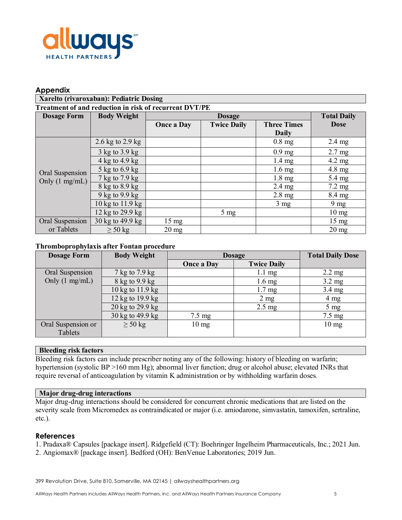

### **Appendix**

| Xarelto (rivaroxaban): Pediatric Dosing                |                                    |                   |                    |                    |                    |
|--------------------------------------------------------|------------------------------------|-------------------|--------------------|--------------------|--------------------|
| Treatment of and reduction in risk of recurrent DVT/PE |                                    |                   |                    |                    |                    |
| <b>Dosage Form</b>                                     | <b>Body Weight</b>                 | <b>Dosage</b>     |                    |                    | <b>Total Daily</b> |
|                                                        |                                    | <b>Once a Day</b> | <b>Twice Daily</b> | <b>Three Times</b> | <b>Dose</b>        |
|                                                        |                                    |                   |                    | <b>Daily</b>       |                    |
| Oral Suspension<br>Only $(1 \text{ mg/mL})$            | 2.6 kg to $2.9$ kg                 |                   |                    | $0.8$ mg           | $2.4 \text{ mg}$   |
|                                                        | $3 \text{ kg}$ to $3.9 \text{ kg}$ |                   |                    | $0.9 \text{ mg}$   | $2.7 \text{ mg}$   |
|                                                        | 4 kg to 4.9 kg                     |                   |                    | $1.4 \text{ mg}$   | $4.2 \text{ mg}$   |
|                                                        | 5 kg to 6.9 kg                     |                   |                    | $1.6 \text{ mg}$   | $4.8 \text{ mg}$   |
|                                                        | 7 kg to 7.9 kg                     |                   |                    | $1.8 \text{ mg}$   | 5.4 mg             |
|                                                        | 8 kg to 8.9 kg                     |                   |                    | $2.4 \text{ mg}$   | $7.2 \text{ mg}$   |
|                                                        | 9 kg to 9.9 kg                     |                   |                    | $2.8 \text{ mg}$   | 8.4 mg             |
|                                                        | 10 kg to 11.9 kg                   |                   |                    | $3 \text{ mg}$     | $9 \text{ mg}$     |
|                                                        | 12 kg to 29.9 kg                   |                   | $5 \text{ mg}$     |                    | $10 \text{ mg}$    |
| Oral Suspension                                        | 30 kg to 49.9 kg                   | $15 \text{ mg}$   |                    |                    | $15 \text{ mg}$    |
| or Tablets                                             | $\geq 50$ kg                       | $20 \text{ mg}$   |                    |                    | $20 \text{ mg}$    |

### **Thromboprophylaxis after Fontan procedure**

| <b>Dosage Form</b>       | <b>Body Weight</b> | <b>Dosage</b>     |                    | <b>Total Daily Dose</b> |
|--------------------------|--------------------|-------------------|--------------------|-------------------------|
|                          |                    | <b>Once a Day</b> | <b>Twice Daily</b> |                         |
| Oral Suspension          | 7 kg to 7.9 kg     |                   | $1.1 \text{ mg}$   | $2.2 \text{ mg}$        |
| Only $(1 \text{ mg/mL})$ | 8 kg to 9.9 kg     |                   | $1.6 \text{ mg}$   | $3.2 \text{ mg}$        |
|                          | 10 kg to 11.9 kg   |                   | $1.7 \text{ mg}$   | $3.4 \text{ mg}$        |
|                          | 12 kg to 19.9 kg   |                   | $2 \text{ mg}$     | $4 \text{ mg}$          |
|                          | 20 kg to 29.9 kg   |                   | $2.5 \text{ mg}$   | $5 \text{ mg}$          |
|                          | 30 kg to 49.9 kg   | $7.5 \text{ mg}$  |                    | $7.5 \text{ mg}$        |
| Oral Suspension or       | $\geq 50$ kg       | $10 \text{ mg}$   |                    | $10 \text{ mg}$         |
| Tablets                  |                    |                   |                    |                         |

### **Bleeding risk factors**

Bleeding risk factors can include prescriber noting any of the following: history of bleeding on warfarin; hypertension (systolic BP >160 mm Hg); abnormal liver function; drug or alcohol abuse; elevated INRs that require reversal of anticoagulation by vitamin K administration or by withholding warfarin doses*.*

#### **Major drug-drug interactions**

Major drug-drug interactions should be considered for concurrent chronic medications that are listed on the severity scale from Micromedex as contraindicated or major (i.e. amiodarone, simvastatin, tamoxifen, sertraline, etc.).

### **References**

1. Pradaxa® Capsules [package insert]. Ridgefield (CT): Boehringer Ingelheim Pharmaceuticals, Inc.; 2021 Jun.

2. Angiomax® [package insert]. Bedford (OH): BenVenue Laboratories; 2019 Jun.